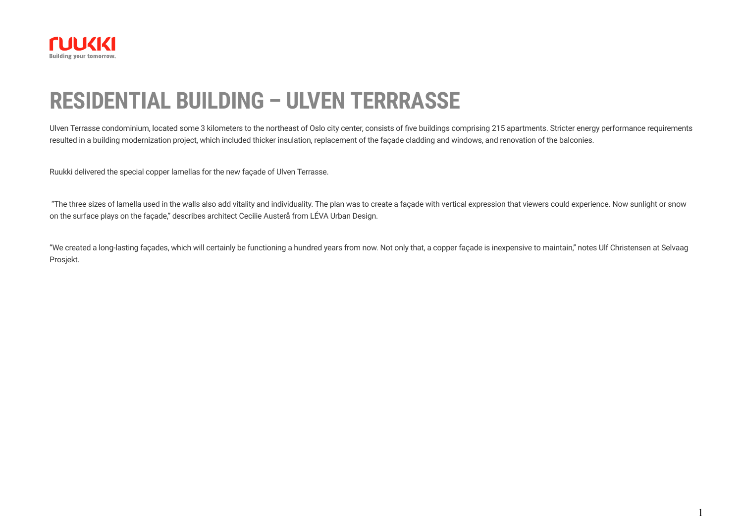

# **RESIDENTIAL BUILDING – ULVEN TERRRASSE**

Ulven Terrasse condominium, located some 3 kilometers to the northeast of Oslo city center, consists of five buildings comprising 215 apartments. Stricter energy performance requirements resulted in a building modernization project, which included thicker insulation, replacement of the façade cladding and windows, and renovation of the balconies.

Ruukki delivered the special copper lamellas for the new façade of Ulven Terrasse.

"The three sizes of lamella used in the walls also add vitality and individuality. The plan was to create a façade with vertical expression that viewers could experience. Now sunlight or snow on the surface plays on the façade," describes architect Cecilie Austerå from LÉVA Urban Design.

"We created a long-lasting façades, which will certainly be functioning a hundred years from now. Not only that, a copper façade is inexpensive to maintain," notes Ulf Christensen at Selvaag Prosjekt.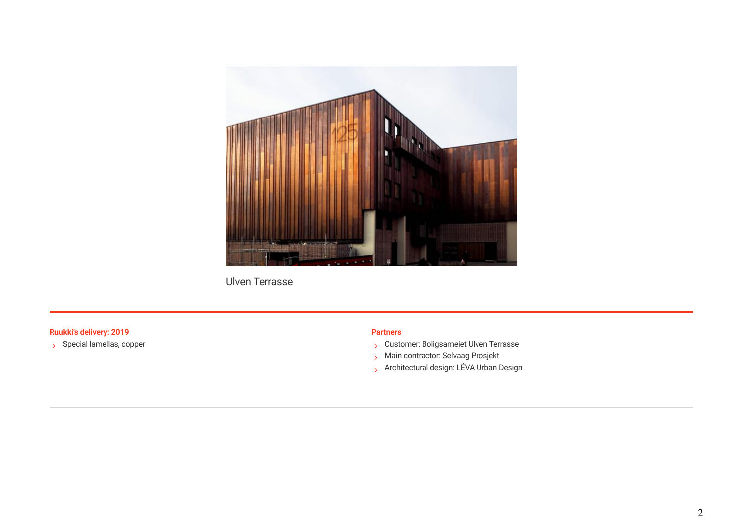

Ulven Terrasse

### **Ruukki's delivery: 2019 Partners**

 $\rightarrow$  Special lamellas, copper

- S Customer: Boligsameiet Ulven Terrasse
- > Main contractor: Selvaag Prosjekt
- > Architectural design: LÉVA Urban Design